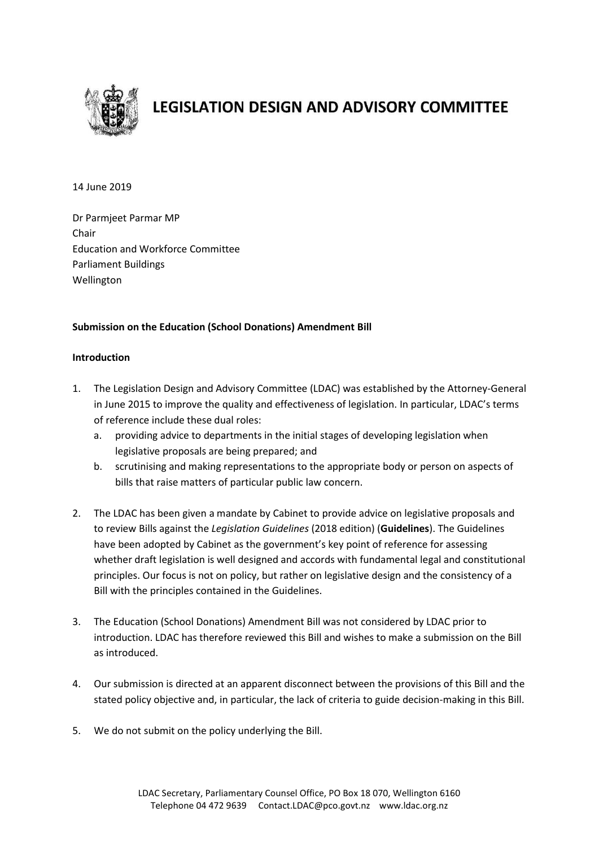

# **LEGISLATION DESIGN AND ADVISORY COMMITTEE**

14 June 2019

Dr Parmjeet Parmar MP Chair Education and Workforce Committee Parliament Buildings Wellington

### **Submission on the Education (School Donations) Amendment Bill**

#### **Introduction**

- 1. The Legislation Design and Advisory Committee (LDAC) was established by the Attorney-General in June 2015 to improve the quality and effectiveness of legislation. In particular, LDAC's terms of reference include these dual roles:
	- a. providing advice to departments in the initial stages of developing legislation when legislative proposals are being prepared; and
	- b. scrutinising and making representations to the appropriate body or person on aspects of bills that raise matters of particular public law concern.
- 2. The LDAC has been given a mandate by Cabinet to provide advice on legislative proposals and to review Bills against the *Legislation Guidelines* (2018 edition) (**Guidelines**). The Guidelines have been adopted by Cabinet as the government's key point of reference for assessing whether draft legislation is well designed and accords with fundamental legal and constitutional principles. Our focus is not on policy, but rather on legislative design and the consistency of a Bill with the principles contained in the Guidelines.
- 3. The Education (School Donations) Amendment Bill was not considered by LDAC prior to introduction. LDAC has therefore reviewed this Bill and wishes to make a submission on the Bill as introduced.
- 4. Our submission is directed at an apparent disconnect between the provisions of this Bill and the stated policy objective and, in particular, the lack of criteria to guide decision-making in this Bill.
- 5. We do not submit on the policy underlying the Bill.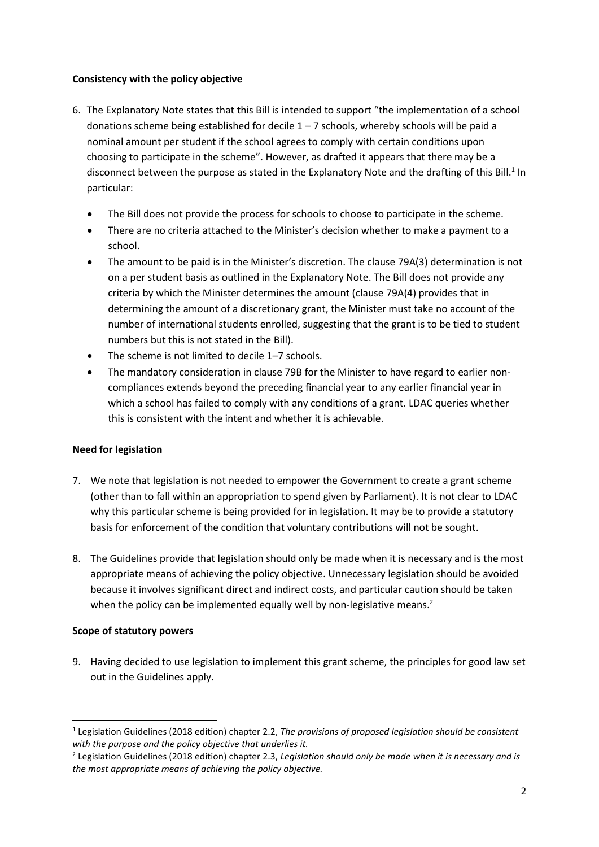#### **Consistency with the policy objective**

- 6. The Explanatory Note states that this Bill is intended to support "the implementation of a school donations scheme being established for decile  $1 - 7$  schools, whereby schools will be paid a nominal amount per student if the school agrees to comply with certain conditions upon choosing to participate in the scheme". However, as drafted it appears that there may be a disconnect between the purpose as stated in the Explanatory Note and the drafting of this Bill.<sup>1</sup> In particular:
	- The Bill does not provide the process for schools to choose to participate in the scheme.
	- There are no criteria attached to the Minister's decision whether to make a payment to a school.
	- The amount to be paid is in the Minister's discretion. The clause 79A(3) determination is not on a per student basis as outlined in the Explanatory Note. The Bill does not provide any criteria by which the Minister determines the amount (clause 79A(4) provides that in determining the amount of a discretionary grant, the Minister must take no account of the number of international students enrolled, suggesting that the grant is to be tied to student numbers but this is not stated in the Bill).
	- The scheme is not limited to decile 1-7 schools.
	- The mandatory consideration in clause 79B for the Minister to have regard to earlier noncompliances extends beyond the preceding financial year to any earlier financial year in which a school has failed to comply with any conditions of a grant. LDAC queries whether this is consistent with the intent and whether it is achievable.

#### **Need for legislation**

- 7. We note that legislation is not needed to empower the Government to create a grant scheme (other than to fall within an appropriation to spend given by Parliament). It is not clear to LDAC why this particular scheme is being provided for in legislation. It may be to provide a statutory basis for enforcement of the condition that voluntary contributions will not be sought.
- 8. The Guidelines provide that legislation should only be made when it is necessary and is the most appropriate means of achieving the policy objective. Unnecessary legislation should be avoided because it involves significant direct and indirect costs, and particular caution should be taken when the policy can be implemented equally well by non-legislative means.<sup>2</sup>

#### **Scope of statutory powers**

1

9. Having decided to use legislation to implement this grant scheme, the principles for good law set out in the Guidelines apply.

<sup>&</sup>lt;sup>1</sup> Legislation Guidelines (2018 edition) chapter 2.2, *The provisions of proposed legislation should be consistent with the purpose and the policy objective that underlies it.*

<sup>2</sup> Legislation Guidelines (2018 edition) chapter 2.3, *Legislation should only be made when it is necessary and is the most appropriate means of achieving the policy objective.*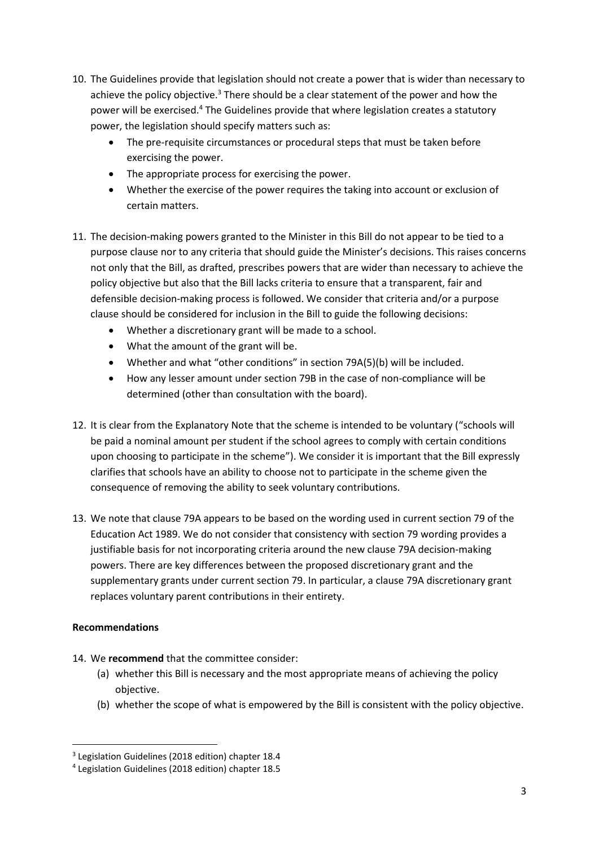- 10. The Guidelines provide that legislation should not create a power that is wider than necessary to achieve the policy objective. $3$  There should be a clear statement of the power and how the power will be exercised.<sup>4</sup> The Guidelines provide that where legislation creates a statutory power, the legislation should specify matters such as:
	- The pre-requisite circumstances or procedural steps that must be taken before exercising the power.
	- The appropriate process for exercising the power.
	- Whether the exercise of the power requires the taking into account or exclusion of certain matters.
- 11. The decision-making powers granted to the Minister in this Bill do not appear to be tied to a purpose clause nor to any criteria that should guide the Minister's decisions. This raises concerns not only that the Bill, as drafted, prescribes powers that are wider than necessary to achieve the policy objective but also that the Bill lacks criteria to ensure that a transparent, fair and defensible decision-making process is followed. We consider that criteria and/or a purpose clause should be considered for inclusion in the Bill to guide the following decisions:
	- Whether a discretionary grant will be made to a school.
	- What the amount of the grant will be.
	- Whether and what "other conditions" in section 79A(5)(b) will be included.
	- How any lesser amount under section 79B in the case of non-compliance will be determined (other than consultation with the board).
- 12. It is clear from the Explanatory Note that the scheme is intended to be voluntary ("schools will be paid a nominal amount per student if the school agrees to comply with certain conditions upon choosing to participate in the scheme"). We consider it is important that the Bill expressly clarifies that schools have an ability to choose not to participate in the scheme given the consequence of removing the ability to seek voluntary contributions.
- 13. We note that clause 79A appears to be based on the wording used in current section 79 of the Education Act 1989. We do not consider that consistency with section 79 wording provides a justifiable basis for not incorporating criteria around the new clause 79A decision-making powers. There are key differences between the proposed discretionary grant and the supplementary grants under current section 79. In particular, a clause 79A discretionary grant replaces voluntary parent contributions in their entirety.

## **Recommendations**

1

- 14. We **recommend** that the committee consider:
	- (a) whether this Bill is necessary and the most appropriate means of achieving the policy objective.
	- (b) whether the scope of what is empowered by the Bill is consistent with the policy objective.

<sup>3</sup> Legislation Guidelines (2018 edition) chapter 18.4

<sup>4</sup> Legislation Guidelines (2018 edition) chapter 18.5